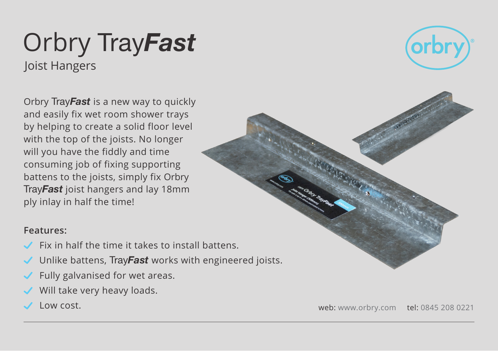## Orbry Tray*Fast* Joist Hangers





## **Features:**

- Fix in half the time it takes to install battens.
- Unlike battens, Tray*Fast* works with engineered joists.
- Fully galvanised for wet areas.
- Will take very heavy loads.
- 

Low cost. web: www.orbry.com tel: 0845 208 0221